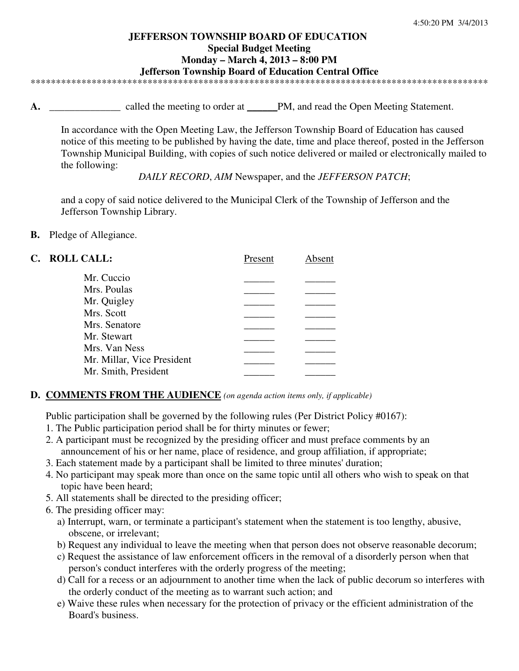#### **JEFFERSON TOWNSHIP BOARD OF EDUCATION Special Budget Meeting Monday – March 4, 2013 – 8:00 PM Jefferson Township Board of Education Central Office**  \*\*\*\*\*\*\*\*\*\*\*\*\*\*\*\*\*\*\*\*\*\*\*\*\*\*\*\*\*\*\*\*\*\*\*\*\*\*\*\*\*\*\*\*\*\*\*\*\*\*\*\*\*\*\*\*\*\*\*\*\*\*\*\*\*\*\*\*\*\*\*\*\*\*\*\*\*\*\*\*\*\*\*\*\*\*\*\*\*\*

**A. \_\_\_\_\_\_\_\_\_\_\_\_\_\_** called the meeting to order at \_\_\_\_\_\_PM, and read the Open Meeting Statement.

In accordance with the Open Meeting Law, the Jefferson Township Board of Education has caused notice of this meeting to be published by having the date, time and place thereof, posted in the Jefferson Township Municipal Building, with copies of such notice delivered or mailed or electronically mailed to the following:

*DAILY RECORD*, *AIM* Newspaper, and the *JEFFERSON PATCH*;

and a copy of said notice delivered to the Municipal Clerk of the Township of Jefferson and the Jefferson Township Library.

**B.** Pledge of Allegiance.

| C. ROLL CALL:              | Present | Absent |
|----------------------------|---------|--------|
| Mr. Cuccio                 |         |        |
| Mrs. Poulas                |         |        |
| Mr. Quigley                |         |        |
| Mrs. Scott                 |         |        |
| Mrs. Senatore              |         |        |
| Mr. Stewart                |         |        |
| Mrs. Van Ness              |         |        |
| Mr. Millar, Vice President |         |        |
| Mr. Smith, President       |         |        |
|                            |         |        |

# **D. COMMENTS FROM THE AUDIENCE** *(on agenda action items only, if applicable)*

Public participation shall be governed by the following rules (Per District Policy #0167):

- 1. The Public participation period shall be for thirty minutes or fewer;
- 2. A participant must be recognized by the presiding officer and must preface comments by an announcement of his or her name, place of residence, and group affiliation, if appropriate;
- 3. Each statement made by a participant shall be limited to three minutes' duration;
- 4. No participant may speak more than once on the same topic until all others who wish to speak on that topic have been heard;
- 5. All statements shall be directed to the presiding officer;
- 6. The presiding officer may:
	- a) Interrupt, warn, or terminate a participant's statement when the statement is too lengthy, abusive, obscene, or irrelevant;
	- b) Request any individual to leave the meeting when that person does not observe reasonable decorum;
	- c) Request the assistance of law enforcement officers in the removal of a disorderly person when that person's conduct interferes with the orderly progress of the meeting;
	- d) Call for a recess or an adjournment to another time when the lack of public decorum so interferes with the orderly conduct of the meeting as to warrant such action; and
	- e) Waive these rules when necessary for the protection of privacy or the efficient administration of the Board's business.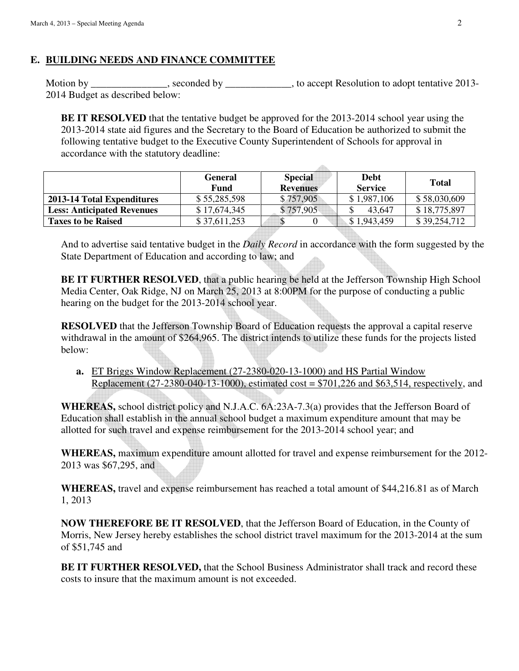# **E. BUILDING NEEDS AND FINANCE COMMITTEE**

Motion by \_\_\_\_\_\_\_\_\_\_\_\_\_\_, seconded by \_\_\_\_\_\_\_\_\_\_\_\_, to accept Resolution to adopt tentative 2013-2014 Budget as described below:

**BE IT RESOLVED** that the tentative budget be approved for the 2013-2014 school year using the 2013-2014 state aid figures and the Secretary to the Board of Education be authorized to submit the following tentative budget to the Executive County Superintendent of Schools for approval in accordance with the statutory deadline:

 $\Delta \mathbb{R}$ 

|                                   | <b>General</b><br>Fund | <b>Special</b><br><b>Revenues</b> | <b>Debt</b><br><b>Service</b> | <b>Total</b> |
|-----------------------------------|------------------------|-----------------------------------|-------------------------------|--------------|
| 2013-14 Total Expenditures        | \$55,285,598           | \$757,905                         | \$1,987,106                   | \$58,030,609 |
| <b>Less: Anticipated Revenues</b> | \$17,674,345           | \$757,905                         | 43.647                        | \$18,775,897 |
| <b>Taxes to be Raised</b>         | \$37,611,253           |                                   | \$1,943,459                   | \$39,254,712 |

And to advertise said tentative budget in the *Daily Record* in accordance with the form suggested by the State Department of Education and according to law; and

**BE IT FURTHER RESOLVED**, that a public hearing be held at the Jefferson Township High School Media Center, Oak Ridge, NJ on March 25, 2013 at 8:00PM for the purpose of conducting a public hearing on the budget for the 2013-2014 school year.

**RESOLVED** that the Jefferson Township Board of Education requests the approval a capital reserve withdrawal in the amount of \$264,965. The district intends to utilize these funds for the projects listed below:

**a.** ET Briggs Window Replacement (27-2380-020-13-1000) and HS Partial Window Replacement (27-2380-040-13-1000), estimated cost =  $$701,226$  and \$63,514, respectively, and

**WHEREAS,** school district policy and N.J.A.C. 6A:23A-7.3(a) provides that the Jefferson Board of Education shall establish in the annual school budget a maximum expenditure amount that may be allotted for such travel and expense reimbursement for the 2013-2014 school year; and

**WHEREAS,** maximum expenditure amount allotted for travel and expense reimbursement for the 2012- 2013 was \$67,295, and

**WHEREAS,** travel and expense reimbursement has reached a total amount of \$44,216.81 as of March 1, 2013

**NOW THEREFORE BE IT RESOLVED**, that the Jefferson Board of Education, in the County of Morris, New Jersey hereby establishes the school district travel maximum for the 2013-2014 at the sum of \$51,745 and

**BE IT FURTHER RESOLVED,** that the School Business Administrator shall track and record these costs to insure that the maximum amount is not exceeded.